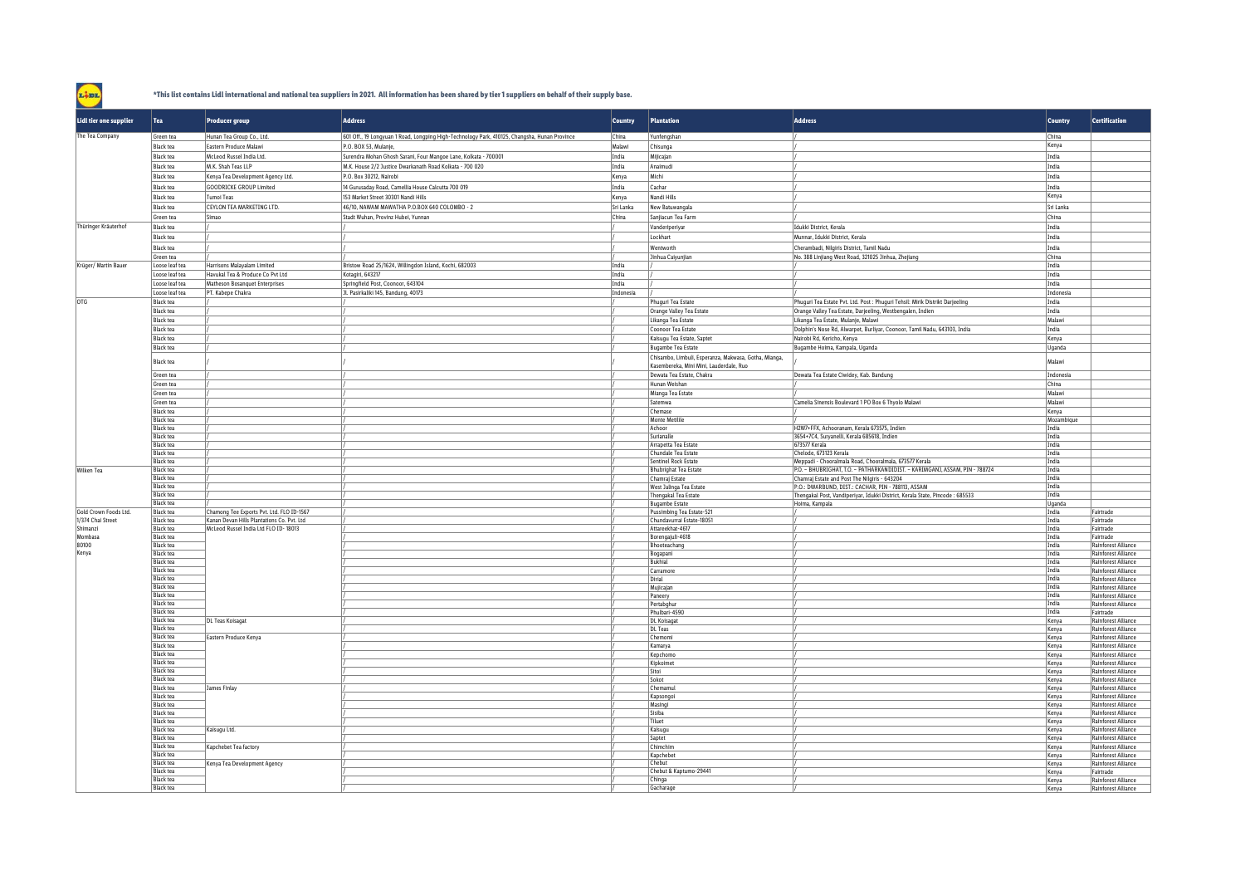## **\*This list contains Lidl international and national tea suppliers in 2021. All information has been shared by tier 1 suppliers on behalf of their supply base.**

Line

| Lidl tier one supplier | Tea                                  | <b>Producer group</b>                      | <b>Address</b>                                                                                | <b>Country</b> | Plantation                                                                                                                    | <b>Address</b>                                                                                                               | <b>Country</b>      | <b>Certification</b>                                     |
|------------------------|--------------------------------------|--------------------------------------------|-----------------------------------------------------------------------------------------------|----------------|-------------------------------------------------------------------------------------------------------------------------------|------------------------------------------------------------------------------------------------------------------------------|---------------------|----------------------------------------------------------|
| The Tea Company        | Green tea                            | Hunan Tea Group Co., Ltd.                  | 601 Off., 19 Longyuan 1 Road, Longping High-Technology Park, 410125, Changsha, Hunan Province | China          | Yunfenashan                                                                                                                   |                                                                                                                              | China               |                                                          |
|                        | <b>Black tea</b>                     | Eastern Produce Malawi                     | P.O. BOX 53, Mulanje,                                                                         | Malawi         | Chisunga                                                                                                                      |                                                                                                                              | Kenya               |                                                          |
|                        | <b>Black tea</b>                     | McLeod Russel India Ltd.                   | Surendra Mohan Ghosh Sarani, Four Mangoe Lane, Kolkata - 700001                               | India          | Mijicajan                                                                                                                     |                                                                                                                              | India               |                                                          |
|                        | <b>Black tea</b>                     | M.K. Shah Teas LLP                         | M.K. House 2/2 Justice Dwarkanath Road Kolkata - 700 020                                      | India          | Anaimudi                                                                                                                      |                                                                                                                              | India               |                                                          |
|                        | <b>Black tea</b>                     | Kenya Tea Development Agency Ltd.          | P.O. Box 30212, Nairobi                                                                       | Kenya          | Michi                                                                                                                         |                                                                                                                              | India               |                                                          |
|                        | <b>Black tea</b>                     | <b>GOODRICKE GROUP Limited</b>             | 14 Gurusaday Road, Camellia House Calcutta 700 019                                            | India          | Cachar                                                                                                                        |                                                                                                                              | India               |                                                          |
|                        | <b>Black tea</b>                     | Tumoi Teas                                 | 153 Market Street 30301 Nandi Hills                                                           | Kenya          | Nandi Hills                                                                                                                   |                                                                                                                              | Kenya               |                                                          |
|                        | <b>Black tea</b>                     | CEYLON TEA MARKETING LTD.                  | 46/10, NAWAM MAWATHA P.O.BOX 640 COLOMBO - 2                                                  | Sri Lanka      | New Batuwangala                                                                                                               |                                                                                                                              | Sri Lanka           |                                                          |
|                        | Green tea                            | Simao                                      | Stadt Wuhan, Provinz Hubei, Yunnan                                                            | China          | Sanjiacun Tea Farm                                                                                                            |                                                                                                                              | China               |                                                          |
| Thüringer Kräuterhof   | <b>Black tea</b>                     |                                            |                                                                                               |                | Vanderiperiyar                                                                                                                | Idukki District, Kerala                                                                                                      | India               |                                                          |
|                        | <b>Black tea</b>                     |                                            |                                                                                               |                | Lockhart                                                                                                                      | Munnar, Idukki District, Kerala                                                                                              | India               |                                                          |
|                        | <b>Black tea</b>                     |                                            |                                                                                               |                | Wentworth                                                                                                                     | Cherambadi, Nilgiris District, Tamil Nadu                                                                                    | India               |                                                          |
|                        | Green tea                            |                                            |                                                                                               |                | Jinhua Caiyunjian                                                                                                             | No. 388 Linjiang West Road, 321025 Jinhua, Zhejiang                                                                          | China               |                                                          |
| Krüger/ Martin Bauer   | Loose leaf tea                       | Harrisons Malayalam Limited                | Bristow Road 25/1624, Willingdon Island, Kochi, 682003                                        | India          |                                                                                                                               |                                                                                                                              | India               |                                                          |
|                        | Loose leaf tea                       | Havukal Tea & Produce Co Pvt Ltd           | Kotagiri, 643217                                                                              | India          |                                                                                                                               |                                                                                                                              | India               |                                                          |
|                        | Loose leaf tea                       | Matheson Bosanquet Enterprises             | Springfield Post, Coonoor, 643104                                                             | India          |                                                                                                                               |                                                                                                                              | India               |                                                          |
|                        | Loose leaf tea                       | PT. Kabepe Chakra                          | Jl. Pasirkaliki 145, Bandung, 40173                                                           | Indonesia      |                                                                                                                               |                                                                                                                              | Indonesia           |                                                          |
| OTG                    | <b>Black tea</b>                     |                                            |                                                                                               |                | Phuguri Tea Estate                                                                                                            | Phuguri Tea Estate Pvt. Ltd. Post : Phuguri Tehsil: Mirik Distrikt Darjeeling                                                | India               |                                                          |
|                        | <b>Black tea</b>                     |                                            | 1                                                                                             |                | Orange Valley Tea Estate                                                                                                      | Orange Valley Tea Estate, Darjeeling, Westbengalen, Indien                                                                   | India               |                                                          |
|                        | <b>Black tea</b>                     |                                            |                                                                                               |                | Likanga Tea Estate                                                                                                            | Likanga Tea Estate, Mulanje, Malawi                                                                                          | Malawi              |                                                          |
|                        | <b>Black tea</b>                     |                                            |                                                                                               |                | Coonoor Tea Estate                                                                                                            | Dolphin's Nose Rd, Alwarpet, Burliyar, Coonoor, Tamil Nadu, 643103, India                                                    | India               |                                                          |
|                        | <b>Black tea</b>                     |                                            |                                                                                               |                | Kaisugu Tea Estate, Saptet                                                                                                    | Nairobi Rd, Kericho, Kenya                                                                                                   | Kenya               |                                                          |
|                        | <b>Black tea</b><br><b>Black tea</b> |                                            |                                                                                               |                | <b>Bugambe Tea Estate</b><br>Chisambo, Limbuli, Esperanza, Makwasa, Gotha, Mianga,<br>Kasembereka, Mini Mini, Lauderdale, Ruo | Bugambe Hoima, Kampala, Uganda                                                                                               | Uganda<br>Malawi    |                                                          |
|                        | Green tea                            |                                            |                                                                                               |                | Dewata Tea Estate, Chakra                                                                                                     | Dewata Tea Estate Ciwidey, Kab. Bandung                                                                                      | Indonesia           |                                                          |
|                        | Green tea                            |                                            |                                                                                               |                | Hunan Weishan                                                                                                                 |                                                                                                                              | China               |                                                          |
|                        | Green tea                            |                                            |                                                                                               |                | Mianga Tea Estate                                                                                                             |                                                                                                                              | Malawi              |                                                          |
|                        | Green tea                            |                                            |                                                                                               |                | Satemwa                                                                                                                       | Camelia Sinensis Boulevard 1 PO Box 6 Thyolo Malawi                                                                          | Malawi              |                                                          |
|                        | <b>Black tea</b><br><b>Black tea</b> |                                            |                                                                                               |                | Chemase<br>Monte Metilile                                                                                                     |                                                                                                                              | Kenya<br>Mozambique |                                                          |
|                        | <b>Black tea</b>                     |                                            |                                                                                               |                | Achoor                                                                                                                        | H2W7+FFX, Achooranam, Kerala 673575, Indien                                                                                  | India               |                                                          |
|                        | <b>Black tea</b>                     |                                            |                                                                                               |                | Surianalle                                                                                                                    | 3654+7C4, Suryanelli, Kerala 685618, Indien                                                                                  | India               |                                                          |
|                        | <b>Black tea</b>                     |                                            |                                                                                               |                | Arrapetta Tea Estate                                                                                                          | 673577 Kerala                                                                                                                | India               |                                                          |
|                        | <b>Black tea</b>                     |                                            |                                                                                               |                | Chundale Tea Estate                                                                                                           | Chelode, 673123 Kerala                                                                                                       | India               |                                                          |
|                        | <b>Black tea</b>                     |                                            |                                                                                               |                | Sentinel Rock Estate                                                                                                          | Meppadi - Chooralmala Road, Chooralmala, 673577 Kerala                                                                       | India               |                                                          |
| <b>Wilken Tea</b>      | <b>Black tea</b><br><b>Black tea</b> |                                            |                                                                                               |                | <b>Bhubrighat Tea Estate</b><br>Chamraj Estate                                                                                | P.O. - BHUBRIGHAT, T.O. - PATHARKANDIDIST, - KARIMGANJ, ASSAM, PIN - 788724<br>Chamraj Estate and Post The Nilgiris - 643204 | India<br>India      |                                                          |
|                        | <b>Black tea</b>                     |                                            |                                                                                               |                | West Jalinga Tea Estate                                                                                                       | P.O.: DWARBUND, DIST.: CACHAR, PIN - 788113, ASSAM                                                                           | India               |                                                          |
|                        | <b>Black tea</b>                     |                                            |                                                                                               |                | <b>Thengakal Tea Estate</b>                                                                                                   | Thengakal Post, Vandiperiyar, Idukki District, Kerala State, Pincode: 685533                                                 | India               |                                                          |
|                        | <b>Black tea</b>                     |                                            |                                                                                               |                | <b>Bugambe Estate</b>                                                                                                         | Hoima, Kampala                                                                                                               | Uganda              |                                                          |
| Gold Crown Foods Ltd.  | <b>Black tea</b>                     | Chamong Tee Exports Pvt. Ltd. FLO ID-1567  |                                                                                               |                | Pussimbing Tea Estate-521                                                                                                     |                                                                                                                              | India               | Eairtrade                                                |
| 1/374 Chai Street      | <b>Black tea</b>                     | Kanan Devan Hills Plantations Co. Pvt. Ltd |                                                                                               |                | Chundavurrai Estate-18051                                                                                                     |                                                                                                                              | India               | Fairtrade                                                |
| Shimanzi<br>Mombasa    | <b>Black tea</b><br>Black tea        | McLeod Russel India Ltd FLO ID-18013       |                                                                                               |                | Attareekhat-4617<br>Borengajuli-4618                                                                                          |                                                                                                                              | India<br>India      | Fairtrade<br>Fairtrade                                   |
| 80100                  | <b>Black tea</b>                     |                                            |                                                                                               |                | Bhooteachang                                                                                                                  |                                                                                                                              | India               | <b>Rainforest Alliance</b>                               |
| Kenya                  | <b>Black tea</b>                     |                                            |                                                                                               |                | Bogapani                                                                                                                      |                                                                                                                              | India               | Rainforest Alliance                                      |
|                        | <b>Black tea</b>                     |                                            |                                                                                               |                | <b>Bukhial</b>                                                                                                                |                                                                                                                              | India               | Rainforest Alliance                                      |
|                        | <b>Black tea</b>                     |                                            |                                                                                               |                | Carramore                                                                                                                     |                                                                                                                              | India               | <b>Rainforest Alliance</b>                               |
|                        | <b>Black tea</b><br><b>Black tea</b> |                                            |                                                                                               |                | Dirial                                                                                                                        |                                                                                                                              | India<br>India      | Rainforest Alliance                                      |
|                        | <b>Black tea</b>                     |                                            |                                                                                               |                | Mujicajan<br>Paneery                                                                                                          |                                                                                                                              | India               | Rainforest Alliance<br>Rainforest Alliance               |
|                        | <b>Black tea</b>                     |                                            |                                                                                               |                | Pertabghur                                                                                                                    |                                                                                                                              | India               | Rainforest Alliance                                      |
|                        | <b>Black tea</b>                     |                                            |                                                                                               |                | Phulbari-4590                                                                                                                 |                                                                                                                              | India               | Fairtrade                                                |
|                        | <b>Black tea</b>                     | <b>DL Teas Koisagat</b>                    |                                                                                               |                | <b>DL</b> Koisagat                                                                                                            |                                                                                                                              | Kenya               | Rainforest Alliance                                      |
|                        | <b>Black tea</b>                     |                                            |                                                                                               |                | <b>DL Teas</b>                                                                                                                |                                                                                                                              | Kenya               | Rainforest Alliance                                      |
|                        | <b>Black tea</b><br><b>Black tea</b> | Eastern Produce Kenya                      |                                                                                               |                | Chemomi<br>Kamarva                                                                                                            |                                                                                                                              | Kenya               | <b>Rainforest Alliance</b><br><b>Rainforest Alliance</b> |
|                        | <b>Black tea</b>                     |                                            |                                                                                               |                | Kepchomo                                                                                                                      |                                                                                                                              | Kenya               | Rainforest Alliance                                      |
|                        | <b>Black tea</b>                     |                                            |                                                                                               |                | Kipkoimet                                                                                                                     |                                                                                                                              | Kenya<br>Kenya      | Rainforest Alliance                                      |
|                        | <b>Black tea</b>                     |                                            |                                                                                               |                | Sitoi                                                                                                                         |                                                                                                                              | Kenva               | <b>Rainforest Alliance</b>                               |
|                        | <b>Black tea</b>                     |                                            |                                                                                               |                | Sokot                                                                                                                         |                                                                                                                              | Kenya               | <b>Rainforest Alliance</b>                               |
|                        | <b>Black tea</b>                     | James Finlay                               |                                                                                               |                | Chemamu                                                                                                                       |                                                                                                                              | Kenya               | Rainforest Alliance                                      |
|                        | <b>Black tea</b>                     |                                            |                                                                                               |                | Kansongoi                                                                                                                     |                                                                                                                              | Kenya               | <b>Rainforest Alliance</b>                               |
|                        | <b>Black tea</b><br><b>Black tea</b> |                                            |                                                                                               |                | Masingi<br>Sisiba                                                                                                             |                                                                                                                              | Kenya<br>Kenya      | Rainforest Alliance<br>Rainforest Alliance               |
|                        | <b>Black tea</b>                     |                                            |                                                                                               |                | Tiluet                                                                                                                        |                                                                                                                              | Kenva               | Rainforest Alliance                                      |
|                        | <b>Black tea</b>                     | Kaisugu Ltd.                               |                                                                                               |                | Kaisugu                                                                                                                       |                                                                                                                              | Kenya               | Rainforest Alliance                                      |
|                        | <b>Black tea</b>                     |                                            |                                                                                               |                | Saptet                                                                                                                        |                                                                                                                              | Kenya               | Rainforest Alliance                                      |
|                        | <b>Black tea</b>                     | Kapchebet Tea factory                      |                                                                                               |                | Chimchim                                                                                                                      |                                                                                                                              | Kenva               | Rainforest Alliance                                      |
|                        | <b>Black tea</b><br><b>Black tea</b> | Kenya Tea Development Agency               |                                                                                               |                | Kapchebet<br>Chebut                                                                                                           |                                                                                                                              | Kenya               | Rainforest Alliance<br><b>Rainforest Alliance</b>        |
|                        | <b>Black tea</b>                     |                                            |                                                                                               |                | Chebut & Kaptumo-29441                                                                                                        |                                                                                                                              | Kenya<br>Kenva      | Fairtrade                                                |
|                        | <b>Black tea</b>                     |                                            |                                                                                               |                | Chinga                                                                                                                        |                                                                                                                              | Kenya               | Rainforest Alliance                                      |
|                        | Black tea                            |                                            |                                                                                               |                | Gacharage                                                                                                                     |                                                                                                                              | Kenya               | <b>Rainforest Alliance</b>                               |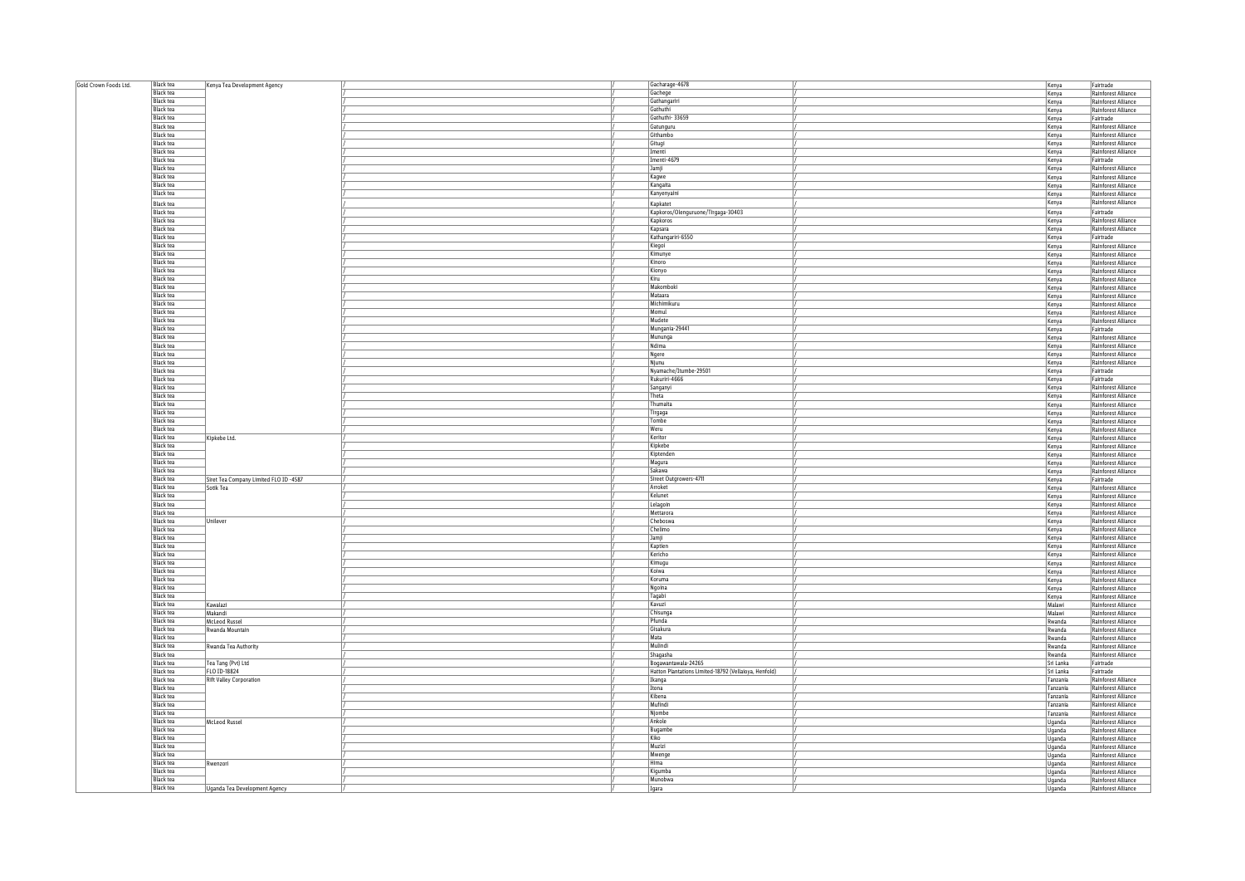| Gold Crown Foods Ltd. | <b>Black tea</b> | Kenya Tea Development Agency           |  | Gacharage-4678                                        | Kenya          | Fairtrade                                         |
|-----------------------|------------------|----------------------------------------|--|-------------------------------------------------------|----------------|---------------------------------------------------|
|                       | <b>Black tea</b> |                                        |  | Gachege                                               | Kenya          | Rainforest Alliance                               |
|                       | <b>Black tea</b> |                                        |  | Gathangariri                                          | Kenya          | Rainforest Alliance                               |
|                       | <b>Black tea</b> |                                        |  | Gathuthi                                              |                | Rainforest Alliance                               |
|                       |                  |                                        |  |                                                       | Kenya          |                                                   |
|                       | <b>Black tea</b> |                                        |  | Gathuthi-33659                                        | Kenya          | Fairtrade                                         |
|                       | <b>Black tea</b> |                                        |  | Gatunguru                                             | Kenya          | Rainforest Alliance                               |
|                       | <b>Black tea</b> |                                        |  | Githambo                                              | Kenya          | Rainforest Alliance                               |
|                       | <b>Black tea</b> |                                        |  | Gitugi                                                | Kenya          | Rainforest Alliance                               |
|                       | <b>Black tea</b> |                                        |  | Imenti                                                | Kenya          | Rainforest Alliance                               |
|                       | <b>Black tea</b> |                                        |  | Imenti-4679                                           | Kenya          | Fairtrade                                         |
|                       | <b>Black tea</b> |                                        |  | Jamji                                                 | Kenya          | Rainforest Alliance                               |
|                       | <b>Black tea</b> |                                        |  | Kaqwe                                                 |                | Rainforest Alliance                               |
|                       |                  |                                        |  |                                                       | Kenya          |                                                   |
|                       | <b>Black tea</b> |                                        |  | Kangaita                                              | Kenya          | Rainforest Alliance                               |
|                       | <b>Black tea</b> |                                        |  | Kanyenyaini                                           | Kenya          | Rainforest Alliance                               |
|                       | Black tea        |                                        |  | Kapkatet                                              | Kenya          | Rainforest Alliance                               |
|                       | <b>Black tea</b> |                                        |  | Kapkoros/Olenguruone/Tirgaga-30403                    | Kenya          | Fairtrade                                         |
|                       | <b>Black tea</b> |                                        |  | Kapkoros                                              | Kenya          | Rainforest Alliance                               |
|                       | <b>Black tea</b> |                                        |  | Kapsara                                               |                | Rainforest Alliance                               |
|                       |                  |                                        |  |                                                       | Kenya          |                                                   |
|                       | <b>Black tea</b> |                                        |  | Kathangariri-6550                                     | Kenya          | Fairtrade                                         |
|                       | <b>Black tea</b> |                                        |  | Kiegoi                                                | Kenya          | Rainforest Alliance                               |
|                       | <b>Black tea</b> |                                        |  | Kimunye                                               | Kenya          | Rainforest Alliance                               |
|                       | <b>Black tea</b> |                                        |  | Kinoro                                                | Kenya          | Rainforest Alliance                               |
|                       | <b>Black tea</b> |                                        |  | Kionyo                                                | Kenya          | Rainforest Alliance                               |
|                       | <b>Black tea</b> |                                        |  | Kiru                                                  | Kenya          | Rainforest Alliance                               |
|                       | <b>Black tea</b> |                                        |  | Makomboki                                             | Kenya          | Rainforest Alliance                               |
|                       | <b>Black tea</b> |                                        |  | Mataara                                               | Kenya          | <b>Rainforest Alliance</b>                        |
|                       | <b>Black tea</b> |                                        |  | Michimikuru                                           | Kenya          | Rainforest Alliance                               |
|                       | <b>Black tea</b> |                                        |  | Momul                                                 |                | Rainforest Alliance                               |
|                       |                  |                                        |  |                                                       | Kenya          |                                                   |
|                       | <b>Black tea</b> |                                        |  | Mudete                                                | Kenya          | Rainforest Alliance                               |
|                       | <b>Black tea</b> |                                        |  | Mungania-29441                                        | Kenya          | Fairtrade                                         |
|                       | <b>Black tea</b> |                                        |  | Mununga                                               | Kenya          | Rainforest Alliance                               |
|                       | <b>Black tea</b> |                                        |  | Ndima                                                 | Kenya          | Rainforest Alliance                               |
|                       | <b>Black tea</b> |                                        |  | Ngere                                                 | Kenya          | Rainforest Alliance                               |
|                       | <b>Black tea</b> |                                        |  | Njunu                                                 | Kenya          | Rainforest Alliance                               |
|                       | <b>Black tea</b> |                                        |  | Nyamache/Itumbe-29501                                 | Kenya          | Fairtrade                                         |
|                       | <b>Black tea</b> |                                        |  | Rukuriri-4666                                         | Kenya          | Fairtrade                                         |
|                       |                  |                                        |  |                                                       |                |                                                   |
|                       | <b>Black tea</b> |                                        |  | Sanganyi                                              | Kenya          | Rainforest Alliance                               |
|                       | <b>Black tea</b> |                                        |  | Theta                                                 | Kenya          | Rainforest Alliance                               |
|                       | <b>Black tea</b> |                                        |  | Thumaita                                              | Kenya          | Rainforest Alliance                               |
|                       | <b>Black tea</b> |                                        |  | Tirgaga                                               | Kenya          | Rainforest Alliance                               |
|                       | <b>Black tea</b> |                                        |  | Tombe                                                 | Kenya          | Rainforest Alliance                               |
|                       | <b>Black tea</b> |                                        |  | Weru                                                  | Kenya          | Rainforest Alliance                               |
|                       | <b>Black tea</b> | Kipkebe Ltd.                           |  | Keritor                                               | Kenya          | Rainforest Alliance                               |
|                       | <b>Black tea</b> |                                        |  | Kipkebe                                               |                | Rainforest Alliance                               |
|                       | <b>Black tea</b> |                                        |  | Kiptenden                                             | Kenya<br>Kenya | Rainforest Alliance                               |
|                       | <b>Black tea</b> |                                        |  |                                                       |                |                                                   |
|                       |                  |                                        |  | Magura                                                | Kenya          | Rainforest Alliance                               |
|                       | <b>Black tea</b> |                                        |  | Sakawa                                                | Kenya          | <b>Rainforest Alliance</b>                        |
|                       | <b>Black tea</b> | Siret Tea Company Limited FLO ID -4587 |  | Sireet Outgrowers-4711                                | Kenya          | Fairtrade                                         |
|                       | <b>Black tea</b> | Sotik Tea                              |  | Arroket                                               | Kenya          | Rainforest Alliance                               |
|                       | <b>Black tea</b> |                                        |  | Kelunet                                               | Kenya          | Rainforest Alliance                               |
|                       | <b>Black tea</b> |                                        |  | Lelagoin                                              | Kenya          | Rainforest Alliance                               |
|                       | <b>Black tea</b> |                                        |  | Mettarora                                             | Kenya          | <b>Rainforest Alliance</b>                        |
|                       | <b>Black tea</b> | Unilever                               |  | Cheboswa                                              | Kenya          | Rainforest Alliance                               |
|                       | <b>Black tea</b> |                                        |  | Chelimo                                               |                | Rainforest Alliance                               |
|                       | <b>Black tea</b> |                                        |  | Jamji                                                 | Kenya          |                                                   |
|                       | <b>Black tea</b> |                                        |  | Kantien                                               | Kenya          | Rainforest Alliance<br><b>Rainforest Alliance</b> |
|                       |                  |                                        |  |                                                       | Kenya          |                                                   |
|                       | <b>Black tea</b> |                                        |  | Kericho                                               | Kenya          | Rainforest Alliance                               |
|                       | <b>Black tea</b> |                                        |  | Kimugu                                                | Kenya          | Rainforest Alliance                               |
|                       | <b>Black tea</b> |                                        |  | Koiwa                                                 | Kenya          | Rainforest Alliance                               |
|                       | Black tea        |                                        |  | Koruma                                                | Kenya          | Rainforest Alliance                               |
|                       | <b>Black tea</b> |                                        |  | Ngoina                                                | Kenya          | Rainforest Alliance                               |
|                       | <b>Black tea</b> |                                        |  | Tagabi                                                | Kenya          | Rainforest Alliance                               |
|                       | <b>Black tea</b> | Kawalazi                               |  | Kavuzi                                                | Malawi         | Rainforest Alliance                               |
|                       | <b>Black tea</b> | Makandi                                |  | Chisunga                                              | Malawi         | Rainforest Alliance                               |
|                       | <b>Black tea</b> | McLeod Russel                          |  | Pfunda                                                | Rwanda         | Rainforest Alliance                               |
|                       | <b>Black tea</b> | Rwanda Mountain                        |  | Gisakura                                              | Rwanda         |                                                   |
|                       | <b>Black tea</b> |                                        |  | Mata                                                  |                | Rainforest Alliance                               |
|                       | <b>Black tea</b> |                                        |  | Mulindi                                               | Rwanda         | Rainforest Alliance                               |
|                       |                  | Rwanda Tea Authority                   |  |                                                       | Rwanda         | Rainforest Alliance                               |
|                       | <b>Black tea</b> |                                        |  | Shagasha                                              | Rwanda         | Rainforest Alliance                               |
|                       | <b>Black tea</b> | Tea Tang (Pvt) Ltd                     |  | Bogawantawala-24265                                   | Sri Lanka      | Fairtrade                                         |
|                       | <b>Black tea</b> | FLO ID-18824                           |  | Hatton Plantations Limited-18792 (Vellaioya, Henfold) | Sri Lanka      | Fairtrade                                         |
|                       | <b>Black tea</b> | <b>Rift Valley Corporation</b>         |  | Ikanga                                                | Tanzania       | Rainforest Alliance                               |
|                       | <b>Black tea</b> |                                        |  | Itona                                                 | Tanzania       | Rainforest Alliance                               |
|                       | <b>Black tea</b> |                                        |  | Kibena                                                | Tanzania       | Rainforest Alliance                               |
|                       | <b>Black tea</b> |                                        |  | Mufindi                                               | Tanzania       | Rainforest Alliance                               |
|                       | <b>Black</b> tea |                                        |  | Niombe                                                | Tanzania       | Rainforest Alliance                               |
|                       | <b>Black tea</b> | <b>McLeod Russel</b>                   |  | Ankole                                                |                | Rainforest Alliance                               |
|                       | <b>Black tea</b> |                                        |  |                                                       | Uganda         |                                                   |
|                       |                  |                                        |  | Bugambe                                               | Uganda         | Rainforest Alliance                               |
|                       | <b>Black tea</b> |                                        |  | Kiko                                                  | Uganda         | Rainforest Alliance                               |
|                       | Black tea        |                                        |  | Muzizi                                                | Uganda         | Rainforest Alliance                               |
|                       | <b>Black tea</b> |                                        |  | Mwenge                                                | Uganda         | Rainforest Alliance                               |
|                       | <b>Black tea</b> | Rwenzori                               |  | Hima                                                  | Uganda         | Rainforest Alliance                               |
|                       | <b>Black tea</b> |                                        |  | Kigumba                                               | Uganda         | Rainforest Alliance                               |
|                       | Black tea        |                                        |  | Munobwa                                               | Uganda         | Rainforest Alliance                               |
|                       | <b>Black tea</b> | Uganda Tea Development Agency          |  | Igara                                                 | Uqanda         | Rainforest Alliance                               |
|                       |                  |                                        |  |                                                       |                |                                                   |